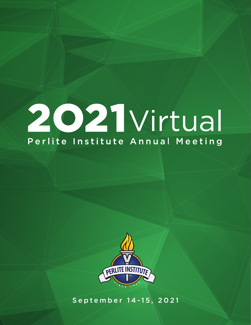## 2021 Virtual Perlite-Institute Annual Meeting



September 14-15, 2021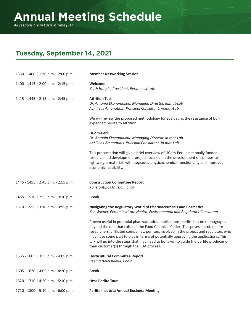*All sessions are in Eastern Time (ET).*

## **Tuesday, September 14, 2021**

| 1330 - 1400   1:30 p.m. - 2:00 p.m. | <b>Member Networking Session</b>                                                                                                                                                                                                                                                                                                                                                                                                                                                               |
|-------------------------------------|------------------------------------------------------------------------------------------------------------------------------------------------------------------------------------------------------------------------------------------------------------------------------------------------------------------------------------------------------------------------------------------------------------------------------------------------------------------------------------------------|
| 1400 - 1415   2:00 p.m. - 2:15 p.m. | Welcome<br>Keith Hoople, President, Perlite Institute                                                                                                                                                                                                                                                                                                                                                                                                                                          |
| 1415 - 1445   2:15 p.m. - 2:45 p.m. | <b>Attrition Test</b><br>Dr. Antonia Ekonomakou, Managing Director, in.mat-Lab<br>Achilleas Amanatidis, Principal Consultant, in.mat-Lab                                                                                                                                                                                                                                                                                                                                                       |
|                                     | We will review the proposed methodology for evaluating the resistance of bulk<br>expanded perlite to attrition.                                                                                                                                                                                                                                                                                                                                                                                |
|                                     | LiCom-Perl<br>Dr. Antonia Ekonomakou, Managing Director, in.mat-Lab<br>Achilleas Amanatidis, Principal Consultant, in.mat-Lab                                                                                                                                                                                                                                                                                                                                                                  |
|                                     | This presentation will give a brief overview of LiCom-Perl, a nationally funded<br>research and development project focused on the development of composite<br>lightweight materials with upgraded physicochemical functionality and improved<br>economic feasibility.                                                                                                                                                                                                                         |
| 1445 - 1455   2:45 p.m. - 2:55 p.m. | <b>Construction Committee Report</b><br>Konstantinos Mitsiou, Chair                                                                                                                                                                                                                                                                                                                                                                                                                            |
| 1455 - 1510   2:55 p.m. - 3:10 p.m. | <b>Break</b>                                                                                                                                                                                                                                                                                                                                                                                                                                                                                   |
| 1510 - 1555   3:10 p.m. - 3:55 p.m. | Navigating the Regulatory World of Pharmaceuticals and Cosmetics<br>Ken Wiener, Perlite Institute Health, Environmental and Regulatory Consultant                                                                                                                                                                                                                                                                                                                                              |
|                                     | Proven useful in potential pharmaceutical applications, perlite has no monographs<br>beyond the one that exists in the Food Chemical Codex. This poses a problem for<br>researchers, affiliated companies, perliters involved in the project and regulators who<br>may have some part to play in terms of potentially approving the applications. This<br>talk will go into the steps that may need to be taken to guide the perlite producer or<br>their customer(s) through the FDA process. |
| 1555 - 1605   3:55 p.m. - 4:05 p.m. | <b>Horticultural Committee Report</b><br>Reema Bolokbaeva, Chair                                                                                                                                                                                                                                                                                                                                                                                                                               |
| 1605 - 1620   4:05 p.m. - 4:20 p.m. | <b>Break</b>                                                                                                                                                                                                                                                                                                                                                                                                                                                                                   |
| 1620 - 1710   4:20 p.m. - 5:10 p.m. | <b>Hess Perlite Tour</b>                                                                                                                                                                                                                                                                                                                                                                                                                                                                       |
| 1710 - 1800   5:10 p.m. - 6:00 p.m. | <b>Perlite Institute Annual Business Meeting</b>                                                                                                                                                                                                                                                                                                                                                                                                                                               |